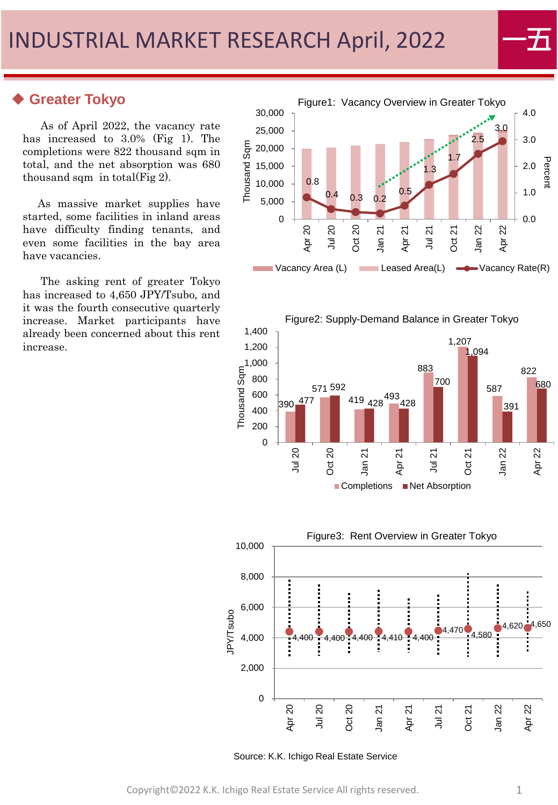# **Greater Tokyo**

As of April 2022, the vacancy rate has increased to 3.0% (Fig 1). The completions were 822 thousand sqm in total, and the net absorption was 680 thousand sqm in total(Fig 2).

As massive market supplies have started, some facilities in inland areas have difficulty finding tenants, and even some facilities in the bay area have vacancies.

The asking rent of greater Tokyo has increased to 4,650 JPY/Tsubo, and it was the fourth consecutive quarterly increase. Market participants have already been concerned about this rent increase.









Source: K.K. Ichigo Real Estate Service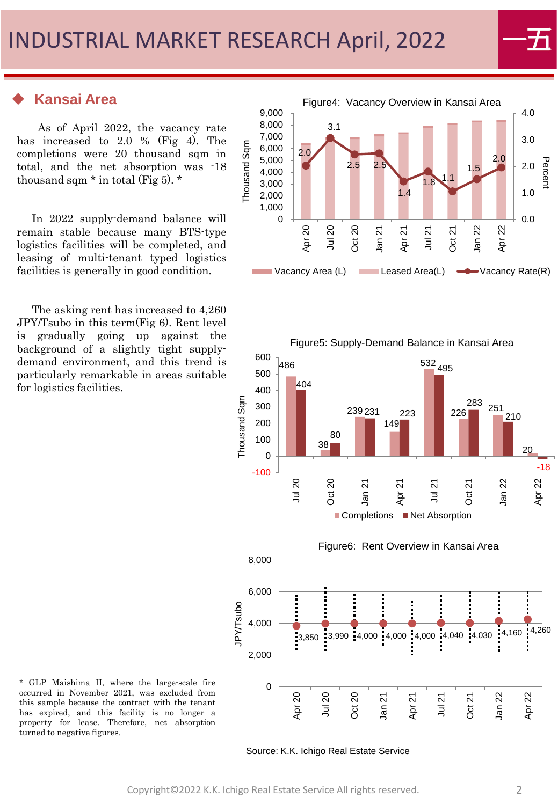### ◆ **Kansai Area**

As of April 2022, the vacancy rate has increased to 2.0 % (Fig 4). The completions were 20 thousand sqm in total, and the net absorption was -18 thousand sqm  $*$  in total (Fig 5).  $*$ 

In 2022 supply-demand balance will remain stable because many BTS-type logistics facilities will be completed, and leasing of multi-tenant typed logistics facilities is generally in good condition.

The asking rent has increased to 4,260 JPY/Tsubo in this term(Fig 6). Rent level is gradually going up against the background of a slightly tight supplydemand environment, and this trend is particularly remarkable in areas suitable for logistics facilities.







Source: K.K. Ichigo Real Estate Service

\* GLP Maishima II, where the large-scale fire occurred in November 2021, was excluded from this sample because the contract with the tenant has expired, and this facility is no longer a property for lease. Therefore, net absorption turned to negative figures.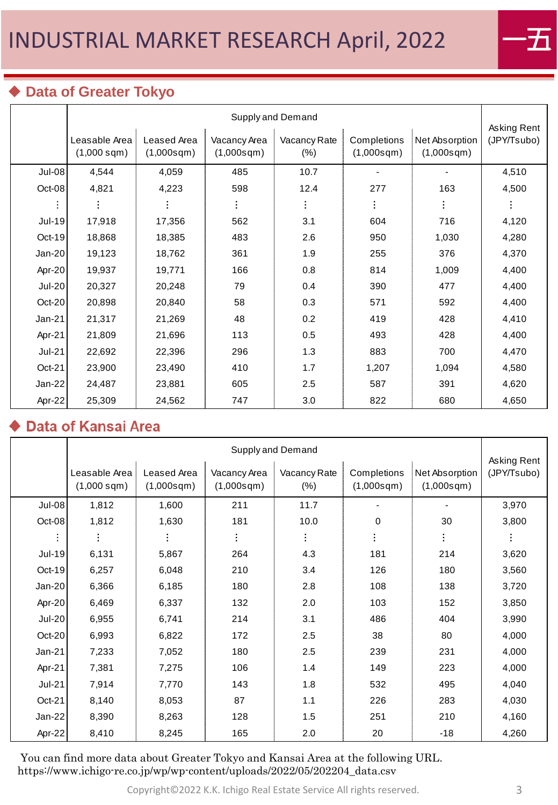

# ◆ **Data of Greater Tokyo**

|               | Supply and Demand                 |                           |                            |                        |                           |                              |                            |  |
|---------------|-----------------------------------|---------------------------|----------------------------|------------------------|---------------------------|------------------------------|----------------------------|--|
|               | Leasable Area<br>$(1,000$ sqm $)$ | Leased Area<br>(1,000sgm) | Vacancy Area<br>(1,000sqm) | Vacancy Rate<br>$(\%)$ | Completions<br>(1,000sqm) | Net Absorption<br>(1,000sgm) | Asking Rent<br>(JPY/Tsubo) |  |
| Jul-08        | 4,544                             | 4,059                     | 485                        | 10.7                   |                           |                              | 4,510                      |  |
| Oct-08        | 4,821                             | 4,223                     | 598                        | 12.4                   | 277                       | 163                          | 4,500                      |  |
|               |                                   |                           |                            |                        |                           |                              |                            |  |
| <b>Jul-19</b> | 17,918                            | 17,356                    | 562                        | 3.1                    | 604                       | 716                          | 4,120                      |  |
| Oct-19        | 18,868                            | 18,385                    | 483                        | 2.6                    | 950                       | 1,030                        | 4,280                      |  |
| $Jan-20$      | 19,123                            | 18,762                    | 361                        | 1.9                    | 255                       | 376                          | 4,370                      |  |
| Apr-20        | 19,937                            | 19,771                    | 166                        | 0.8                    | 814                       | 1,009                        | 4,400                      |  |
| <b>Jul-20</b> | 20,327                            | 20,248                    | 79                         | 0.4                    | 390                       | 477                          | 4,400                      |  |
| Oct-20        | 20,898                            | 20,840                    | 58                         | 0.3                    | 571                       | 592                          | 4,400                      |  |
| Jan-21        | 21,317                            | 21,269                    | 48                         | 0.2                    | 419                       | 428                          | 4,410                      |  |
| Apr-21        | 21,809                            | 21,696                    | 113                        | 0.5                    | 493                       | 428                          | 4,400                      |  |
| <b>Jul-21</b> | 22,692                            | 22,396                    | 296                        | 1.3                    | 883                       | 700                          | 4,470                      |  |
| Oct-21        | 23,900                            | 23,490                    | 410                        | 1.7                    | 1,207                     | 1,094                        | 4,580                      |  |
| Jan-22        | 24,487                            | 23,881                    | 605                        | 2.5                    | 587                       | 391                          | 4,620                      |  |
| Apr-22        | 25,309                            | 24,562                    | 747                        | 3.0                    | 822                       | 680                          | 4,650                      |  |

## Data of Kansai Area

|               | Supply and Demand                 |                           |                            |                        |                           |                              |                            |  |
|---------------|-----------------------------------|---------------------------|----------------------------|------------------------|---------------------------|------------------------------|----------------------------|--|
|               | Leasable Area<br>$(1,000$ sqm $)$ | Leased Area<br>(1,000sgm) | Vacancy Area<br>(1,000sgm) | Vacancy Rate<br>$(\%)$ | Completions<br>(1,000sgm) | Net Absorption<br>(1,000sgm) | Asking Rent<br>(JPY/Tsubo) |  |
| Jul-08        | 1,812                             | 1,600                     | 211                        | 11.7                   | -                         |                              | 3,970                      |  |
| Oct-08        | 1,812                             | 1,630                     | 181                        | 10.0                   | 0                         | 30                           | 3,800                      |  |
|               |                                   |                           |                            |                        |                           |                              |                            |  |
| <b>Jul-19</b> | 6,131                             | 5,867                     | 264                        | 4.3                    | 181                       | 214                          | 3,620                      |  |
| $Oct-19$      | 6,257                             | 6,048                     | 210                        | 3.4                    | 126                       | 180                          | 3,560                      |  |
| $Jan-20$      | 6,366                             | 6,185                     | 180                        | 2.8                    | 108                       | 138                          | 3,720                      |  |
| Apr-20        | 6,469                             | 6,337                     | 132                        | 2.0                    | 103                       | 152                          | 3,850                      |  |
| <b>Jul-20</b> | 6,955                             | 6,741                     | 214                        | 3.1                    | 486                       | 404                          | 3,990                      |  |
| Oct-20        | 6,993                             | 6,822                     | 172                        | 2.5                    | 38                        | 80                           | 4,000                      |  |
| $Jan-21$      | 7,233                             | 7,052                     | 180                        | 2.5                    | 239                       | 231                          | 4,000                      |  |
| Apr-21        | 7,381                             | 7,275                     | 106                        | 1.4                    | 149                       | 223                          | 4,000                      |  |
| <b>Jul-21</b> | 7,914                             | 7,770                     | 143                        | 1.8                    | 532                       | 495                          | 4,040                      |  |
| $Oct-21$      | 8,140                             | 8,053                     | 87                         | 1.1                    | 226                       | 283                          | 4,030                      |  |
| Jan-22        | 8,390                             | 8,263                     | 128                        | 1.5                    | 251                       | 210                          | 4,160                      |  |
| Apr-22        | 8,410                             | 8,245                     | 165                        | 2.0                    | 20                        | $-18$                        | 4,260                      |  |

You can find more data about Greater Tokyo and Kansai Area at the following URL. https://www.ichigo-re.co.jp/wp/wp-content/uploads/2022/05/202204\_data.csv